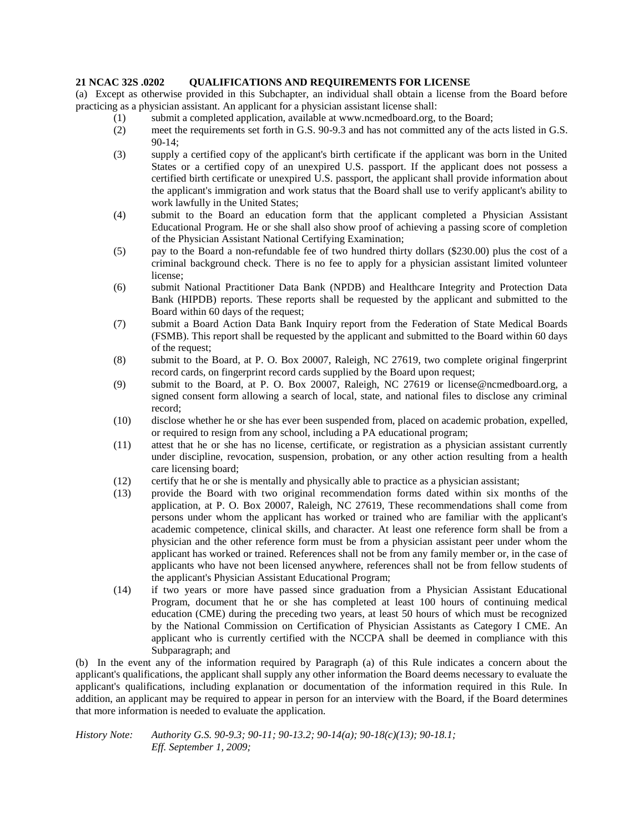## **21 NCAC 32S .0202 QUALIFICATIONS AND REQUIREMENTS FOR LICENSE**

(a) Except as otherwise provided in this Subchapter, an individual shall obtain a license from the Board before practicing as a physician assistant. An applicant for a physician assistant license shall:

- (1) submit a completed application, available at www.ncmedboard.org, to the Board;
- (2) meet the requirements set forth in G.S. 90-9.3 and has not committed any of the acts listed in G.S. 90-14;
- (3) supply a certified copy of the applicant's birth certificate if the applicant was born in the United States or a certified copy of an unexpired U.S. passport. If the applicant does not possess a certified birth certificate or unexpired U.S. passport, the applicant shall provide information about the applicant's immigration and work status that the Board shall use to verify applicant's ability to work lawfully in the United States;
- (4) submit to the Board an education form that the applicant completed a Physician Assistant Educational Program. He or she shall also show proof of achieving a passing score of completion of the Physician Assistant National Certifying Examination;
- (5) pay to the Board a non-refundable fee of two hundred thirty dollars (\$230.00) plus the cost of a criminal background check. There is no fee to apply for a physician assistant limited volunteer license;
- (6) submit National Practitioner Data Bank (NPDB) and Healthcare Integrity and Protection Data Bank (HIPDB) reports. These reports shall be requested by the applicant and submitted to the Board within 60 days of the request;
- (7) submit a Board Action Data Bank Inquiry report from the Federation of State Medical Boards (FSMB). This report shall be requested by the applicant and submitted to the Board within 60 days of the request;
- (8) submit to the Board, at P. O. Box 20007, Raleigh, NC 27619, two complete original fingerprint record cards, on fingerprint record cards supplied by the Board upon request;
- (9) submit to the Board, at P. O. Box 20007, Raleigh, NC 27619 or license@ncmedboard.org, a signed consent form allowing a search of local, state, and national files to disclose any criminal record;
- (10) disclose whether he or she has ever been suspended from, placed on academic probation, expelled, or required to resign from any school, including a PA educational program;
- (11) attest that he or she has no license, certificate, or registration as a physician assistant currently under discipline, revocation, suspension, probation, or any other action resulting from a health care licensing board;
- (12) certify that he or she is mentally and physically able to practice as a physician assistant;
- (13) provide the Board with two original recommendation forms dated within six months of the application, at P. O. Box 20007, Raleigh, NC 27619, These recommendations shall come from persons under whom the applicant has worked or trained who are familiar with the applicant's academic competence, clinical skills, and character. At least one reference form shall be from a physician and the other reference form must be from a physician assistant peer under whom the applicant has worked or trained. References shall not be from any family member or, in the case of applicants who have not been licensed anywhere, references shall not be from fellow students of the applicant's Physician Assistant Educational Program;
- (14) if two years or more have passed since graduation from a Physician Assistant Educational Program, document that he or she has completed at least 100 hours of continuing medical education (CME) during the preceding two years, at least 50 hours of which must be recognized by the National Commission on Certification of Physician Assistants as Category I CME. An applicant who is currently certified with the NCCPA shall be deemed in compliance with this Subparagraph; and

(b) In the event any of the information required by Paragraph (a) of this Rule indicates a concern about the applicant's qualifications, the applicant shall supply any other information the Board deems necessary to evaluate the applicant's qualifications, including explanation or documentation of the information required in this Rule. In addition, an applicant may be required to appear in person for an interview with the Board, if the Board determines that more information is needed to evaluate the application.

*History Note: Authority G.S. 90-9.3; 90-11; 90-13.2; 90-14(a); 90-18(c)(13); 90-18.1; Eff. September 1, 2009;*